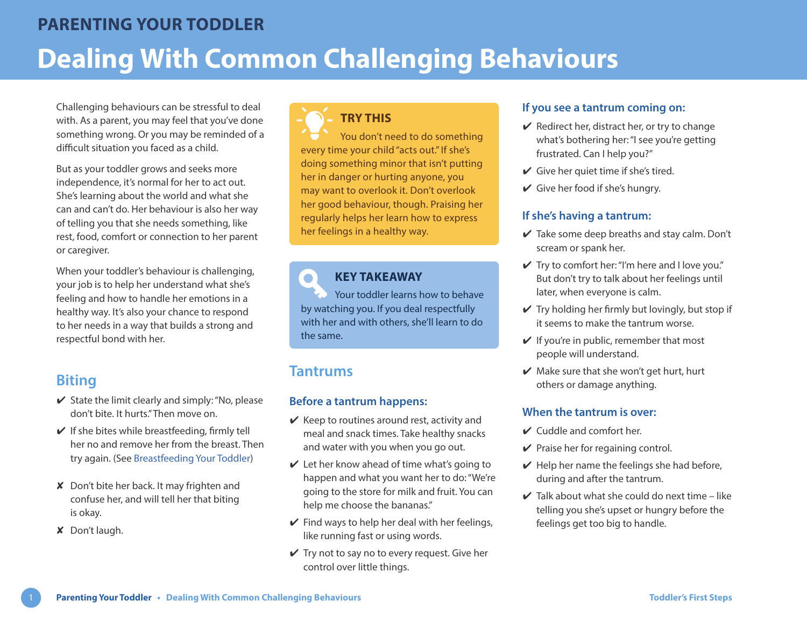Challenging behaviours can be stressful to deal with. As a parent, you may feel that you've done something wrong. Or you may be reminded of a difficult situation you faced as a child.

But as your toddler grows and seeks more independence, it's normal for her to act out. She's learning about the world and what she can and can't do. Her behaviour is also her way of telling you that she needs something, like rest, food, comfort or connection to her parent or caregiver.

When your toddler's behaviour is challenging, your job is to help her understand what she's feeling and how to handle her emotions in a healthy way. It's also your chance to respond to her needs in a way that builds a strong and respectful bond with her.

# **Biting**

- $\checkmark$  State the limit clearly and simply: "No, please don't bite. It hurts." Then move on.
- $\vee$  If she bites while breastfeeding, firmly tell her no and remove her from the breast. Then try again. (See [Breastfeeding Your Toddler](https://www.healthlinkbc.ca/sites/default/files/documents/TFS_breastfeeding.pdf))
- ✘ Don't bite her back. It may frighten and confuse her, and will tell her that biting is okay.
- ✘ Don't laugh.

### **TRY THIS**

You don't need to do something every time your child "acts out." If she's doing something minor that isn't putting her in danger or hurting anyone, you may want to overlook it. Don't overlook her good behaviour, though. Praising her regularly helps her learn how to express her feelings in a healthy way.

#### **KEY TAKEAWAY**  $\bullet$

Your toddler learns how to behave by watching you. If you deal respectfully with her and with others, she'll learn to do the same.

### **Tantrums**

#### **Before a tantrum happens:**

- $\vee$  Keep to routines around rest, activity and meal and snack times. Take healthy snacks and water with you when you go out.
- $\vee$  Let her know ahead of time what's going to happen and what you want her to do: "We're going to the store for milk and fruit. You can help me choose the bananas."
- $\checkmark$  Find ways to help her deal with her feelings, like running fast or using words.
- $\checkmark$  Try not to say no to every request. Give her control over little things.

#### **If you see a tantrum coming on:**

- $\vee$  Redirect her, distract her, or try to change what's bothering her: "I see you're getting frustrated. Can I help you?"
- $\checkmark$  Give her quiet time if she's tired.
- $\vee$  Give her food if she's hungry.

#### **If she's having a tantrum:**

- $\checkmark$  Take some deep breaths and stay calm. Don't scream or spank her.
- $\checkmark$  Try to comfort her: "I'm here and I love you." But don't try to talk about her feelings until later, when everyone is calm.
- $\vee$  Try holding her firmly but lovingly, but stop if it seems to make the tantrum worse.
- $\vee$  If you're in public, remember that most people will understand.
- $\vee$  Make sure that she won't get hurt, hurt others or damage anything.

#### **When the tantrum is over:**

- ✔ Cuddle and comfort her.
- $\vee$  Praise her for regaining control.
- $\vee$  Help her name the feelings she had before, during and after the tantrum.
- $\vee$  Talk about what she could do next time like telling you she's upset or hungry before the feelings get too big to handle.